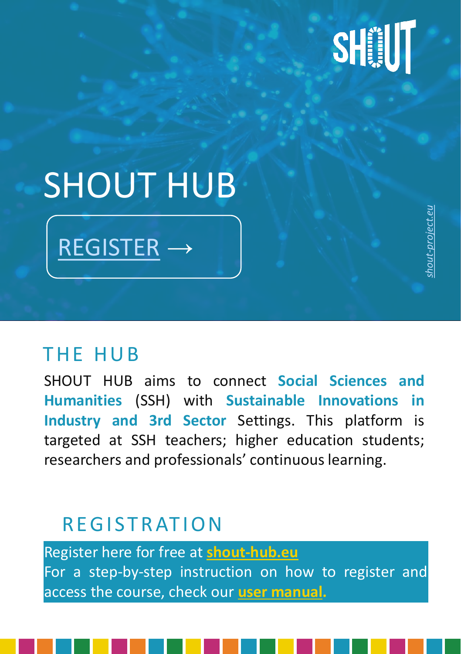## SHIJI

### SHOUT HUB

[REGISTER](link-hub.eu) <sup>→</sup> *[project.eu](https://shout-project.eu/)*

#### THE HUB

SHOUT HUB aims to connect **Social Sciences and Humanities** (SSH) with **Sustainable Innovations in Industry and 3rd Sector** Settings. This platform is targeted at SSH teachers; higher education students; researchers and professionals' continuous learning.

#### **REGISTRATION**

Register here for free at **[shout-hub.eu](https://shout-hub.eu/?fbclid=IwAR3FnRppgWByU0SI9v9GauI8CpYBMwhLNex50QVF2_e_ATo9nrFsdrk-DXU)** For a step-by-step instruction on how to register and access the course, check our **user [manual.](https://docs.google.com/document/d/170VD8SM3iO_henr3saTyqg61QYt1vRnhNkYQ7N1NOu0/edit?usp=sharing)**